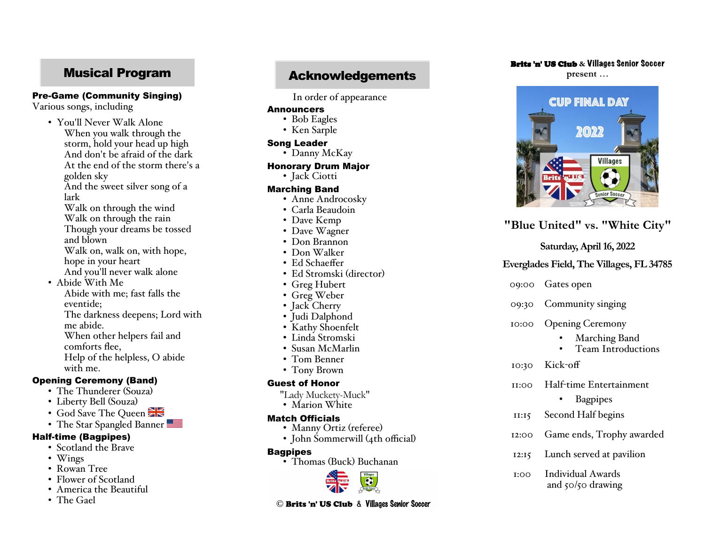### Musical Program

#### Pre-Game (Community Singing)

Various songs, including

- You'll Never Walk Alone When you walk through the storm, hold your head up high And don't be afraid of the dark At the end of the storm there's a golden sky And the sweet silver song of a lark Walk on through the wind Walk on through the rain Though your dreams be tossed and blown Walk on, walk on, with hope, hope in your heart And you'll never walk alone • Abide With Me Abide with me; fast falls the eventide; The darkness deepens; Lord with me abide. When other helpers fail and comforts flee, Help of the helpless, O abide with me. Opening Ceremony (Band) • The Thunderer (Souza)
	- Liberty Bell (Souza)
	- God Save The Queen
	- The Star Spangled Banner

### Half-time (Bagpipes)

- Scotland the Brave
- Wings
- Rowan Tree
- Flower of Scotland
- America the Beautiful
- The Gael

## Acknowledgements

In order of appearance

#### **Announcers**

- Bob Eagles
- Ken Sarple

### Song Leader

• Danny McKay

### Honorary Drum Major

• Jack Ciotti

### Marching Band

- Anne Androcosky
- Carla Beaudoin
- Dave Kemp
- Dave Wagner
- Don Brannon
- Don Walker
- Ed Schae ffer
- Ed Stromski (director)
- Greg Hubert
- Greg Weber
- Jack Cherry
- Judi Dalphond
- Kathy Shoenfelt
- Linda Stromski • Susan McMarlin
- Tom Benner
- Tony Brown

### Guest of Honor

- "Lady Muckety-Muck"
- Marion White

### Match Officials

- Manny Ortiz (referee)
- John Sommerwill (4th o fficial)

### **Bagpipes**

• Thomas (Buck) Buchanan



© Brits 'n' US Club & Villages Senior Soccer

#### Brits 'n' US Club **&** Villages Senior Soccer

**present**  …



## **"Blue United " vs. "White City "**

**Saturday, April 16, 2022**

### **Everglades Field, The Villages, FL 34785**

09:00 Gates open

- 09:30 Community singing
- 10:00 Opening Ceremony
	- •Marching Band
	- •Team Introductions
- 10:30 Kick-<sup>o</sup> ff
- 11:00 Half-time Entertainment
	- •Bagpipes
- 11:15 Second Half begins
- 12:00 Game ends, Trophy awarded
- 12:15 Lunch served at pavilion
- 1:00 Individual Awards and 50/50 drawing